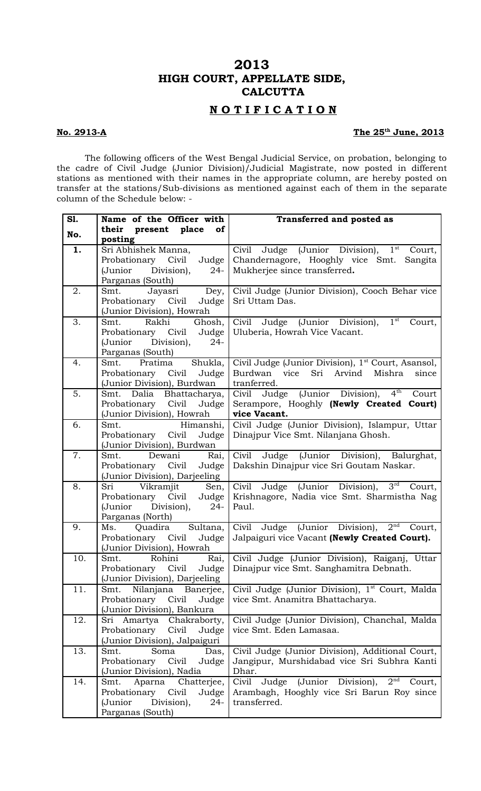# **2013 HIGH COURT, APPELLATE SIDE, CALCUTTA**

## **N O T I F I C A T I O N**

#### **No. 2913-A**

#### The 25<sup>th</sup> June, 2013

The following officers of the West Bengal Judicial Service, on probation, belonging to the cadre of Civil Judge (Junior Division)/Judicial Magistrate, now posted in different stations as mentioned with their names in the appropriate column, are hereby posted on transfer at the stations/Sub-divisions as mentioned against each of them in the separate column of the Schedule below: -

| S1. | Name of the Officer with                                  | Transferred and posted as                                         |
|-----|-----------------------------------------------------------|-------------------------------------------------------------------|
| No. | their present place of                                    |                                                                   |
|     | posting                                                   |                                                                   |
| 1.  | Sri Abhishek Manna,                                       | Civil Judge (Junior Division), 1 <sup>st</sup> Court,             |
|     | Judge  <br>Probationary Civil                             | Chandernagore, Hooghly vice Smt.<br>Sangita                       |
|     | (Junior<br>Division),<br>$24-$                            | Mukherjee since transferred.                                      |
|     | Parganas (South)                                          |                                                                   |
| 2.  | Jayasri Dey,<br>Smt.                                      | Civil Judge (Junior Division), Cooch Behar vice                   |
|     | Probationary Civil Judge<br>(Junior Division), Howrah     | Sri Uttam Das.                                                    |
| 3.  | Ghosh,  <br>Rakhi<br>Smt.                                 | Civil Judge (Junior Division), $\overline{1^{st}}$<br>Court,      |
|     | Probationary Civil Judge                                  | Uluberia, Howrah Vice Vacant.                                     |
|     | (Junior Division), 24-                                    |                                                                   |
|     | Parganas (South)                                          |                                                                   |
| 4.  | Smt. Pratima Shukla,                                      | Civil Judge (Junior Division), 1 <sup>st</sup> Court, Asansol,    |
|     | Probationary Civil Judge                                  | vice<br>Sri<br>Arvind<br>Mishra<br>Burdwan<br>since               |
|     | (Junior Division), Burdwan                                | tranferred.                                                       |
| 5.  | Smt. Dalia Bhattacharya,                                  | Civil Judge (Junior Division),<br>$4^{\rm th}$<br>Court           |
|     | Probationary Civil Judge                                  | Serampore, Hooghly (Newly Created Court)                          |
|     | (Junior Division), Howrah                                 | vice Vacant.                                                      |
| 6.  | Smt.<br>Himanshi,                                         | Civil Judge (Junior Division), Islampur, Uttar                    |
|     | Probationary Civil<br>Judge                               | Dinajpur Vice Smt. Nilanjana Ghosh.                               |
|     | (Junior Division), Burdwan                                |                                                                   |
| 7.  | Smt. Dewani Rai,                                          | Civil Judge (Junior Division), Balurghat,                         |
|     | Probationary Civil Judge                                  | Dakshin Dinajpur vice Sri Goutam Naskar.                          |
| 8.  | (Junior Division), Darjeeling<br>Sri Vikramjit Sen,       | Civil Judge (Junior Division), 3rd Court,                         |
|     | Probationary Civil Judge                                  | Krishnagore, Nadia vice Smt. Sharmistha Nag                       |
|     | (Junior Division),<br>$24-$                               | Paul.                                                             |
|     | Parganas (North)                                          |                                                                   |
| 9.  | Quadira Sultana,<br>Ms.                                   | Civil Judge (Junior Division), 2 <sup>nd</sup> Court,             |
|     | Probationary Civil Judge                                  | Jalpaiguri vice Vacant (Newly Created Court).                     |
|     | (Junior Division), Howrah                                 |                                                                   |
| 10. | Smt. Rohini Rai,                                          | Civil Judge (Junior Division), Raiganj, Uttar                     |
|     | Probationary Civil<br>Judge                               | Dinajpur vice Smt. Sanghamitra Debnath.                           |
|     | (Junior Division), Darjeeling                             |                                                                   |
| 11. | Nilanjana Banerjee,<br>Smt.                               | Civil Judge (Junior Division), 1 <sup>st</sup> Court, Malda       |
|     | Probationary Civil<br>Judge<br>(Junior Division), Bankura | vice Smt. Anamitra Bhattacharya.                                  |
| 12. | Sri Amartya Chakraborty,                                  | Civil Judge (Junior Division), Chanchal, Malda                    |
|     | Probationary<br>Civil<br>Judge                            | vice Smt. Eden Lamasaa.                                           |
|     | (Junior Division), Jalpaiguri                             |                                                                   |
| 13. | Smt.<br>Soma<br>Das,                                      | Civil Judge (Junior Division), Additional Court,                  |
|     | Probationary<br>Civil<br>Judge                            | Jangipur, Murshidabad vice Sri Subhra Kanti                       |
|     | (Junior Division), Nadia                                  | Dhar.                                                             |
| 14. | Aparna Chatterjee,<br>Smt.                                | 2 <sup>nd</sup><br>Civil<br>Judge<br>(Junior Division),<br>Court, |
|     | Probationary Civil<br>Judge                               | Arambagh, Hooghly vice Sri Barun Roy since                        |
|     | Division),<br>(Junior<br>$24-$                            | transferred.                                                      |
|     | Parganas (South)                                          |                                                                   |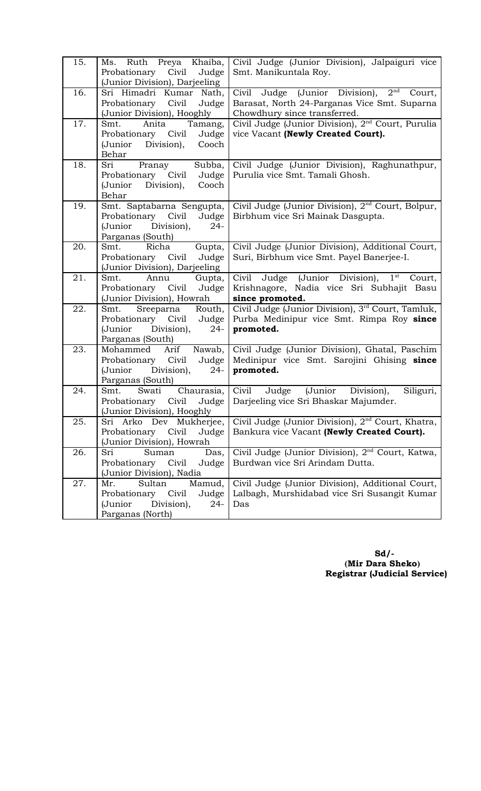| 15. | Ms. Ruth Preya Khaiba,<br>Probationary<br>Civil<br>Judge<br>(Junior Division), Darjeeling                         | Civil Judge (Junior Division), Jalpaiguri vice<br>Smt. Manikuntala Roy.                                                                     |
|-----|-------------------------------------------------------------------------------------------------------------------|---------------------------------------------------------------------------------------------------------------------------------------------|
| 16. | Sri Himadri Kumar Nath,<br>Probationary Civil<br>Judge<br>(Junior Division), Hooghly                              | 2 <sup>nd</sup><br>Civil Judge (Junior Division),<br>Court,<br>Barasat, North 24-Parganas Vice Smt. Suparna<br>Chowdhury since transferred. |
| 17. | Smt.<br>Anita<br>Tamang,<br>Probationary Civil<br>Judge<br>Division),<br>(Junior<br>Cooch<br>Behar                | Civil Judge (Junior Division), 2 <sup>nd</sup> Court, Purulia<br>vice Vacant (Newly Created Court).                                         |
| 18. | Subba,<br>Sri<br>Pranay<br>Probationary Civil<br>Judge<br>(Junior Division),<br>Cooch<br>Behar                    | Civil Judge (Junior Division), Raghunathpur,<br>Purulia vice Smt. Tamali Ghosh.                                                             |
| 19. | Smt. Saptabarna Sengupta,<br>Probationary Civil<br>Judge<br>Division),<br>$24 -$<br>(Junior<br>Parganas (South)   | Civil Judge (Junior Division), 2 <sup>nd</sup> Court, Bolpur,<br>Birbhum vice Sri Mainak Dasgupta.                                          |
| 20. | Smt.<br>Richa<br>Gupta,<br>Judge<br>Probationary Civil<br>(Junior Division), Darjeeling                           | Civil Judge (Junior Division), Additional Court,<br>Suri, Birbhum vice Smt. Payel Banerjee-I.                                               |
| 21. | Smt.<br>Annu<br>Gupta,<br>Probationary Civil<br>Judge<br>(Junior Division), Howrah                                | Civil Judge (Junior Division), 1st<br>Court,<br>Krishnagore, Nadia vice Sri Subhajit Basu<br>since promoted.                                |
| 22. | Sreeparna<br>Routh,<br>Smt.<br>Probationary Civil<br>Judge<br>(Junior<br>Division),<br>$24 -$<br>Parganas (South) | Civil Judge (Junior Division), 3rd Court, Tamluk,<br>Purba Medinipur vice Smt. Rimpa Roy since<br>promoted.                                 |
| 23. | Arif Nawab,<br>Mohammed<br>Probationary Civil Judge<br>Division),<br>(Junior<br>$24-$<br>Parganas (South)         | Civil Judge (Junior Division), Ghatal, Paschim<br>Medinipur vice Smt. Sarojini Ghising since<br>promoted.                                   |
| 24. | Swati<br>Chaurasia,<br>Smt.<br>Civil<br>Judge<br>Probationary<br>(Junior Division), Hooghly                       | Civil<br>Judge<br>(Junior Division),<br>Siliguri,<br>Darjeeling vice Sri Bhaskar Majumder.                                                  |
| 25. | Sri Arko Dev Mukherjee,<br>Civil<br>Probationary<br>Judge<br>(Junior Division), Howrah                            | Civil Judge (Junior Division), $2nd$ Court, Khatra,<br>Bankura vice Vacant (Newly Created Court).                                           |
| 26. | Suman<br>Sri<br>Das,<br>Probationary<br>Civil<br>Judge<br>(Junior Division), Nadia                                | Civil Judge (Junior Division), 2 <sup>nd</sup> Court, Katwa,<br>Burdwan vice Sri Arindam Dutta.                                             |
| 27. | Mamud,<br>Mr.<br>Sultan<br>Probationary Civil<br>Judge<br>(Junior<br>Division),<br>$24-$<br>Parganas (North)      | Civil Judge (Junior Division), Additional Court,<br>Lalbagh, Murshidabad vice Sri Susangit Kumar<br>Das                                     |

 **Sd/- (Mir Dara Sheko) Registrar (Judicial Service)**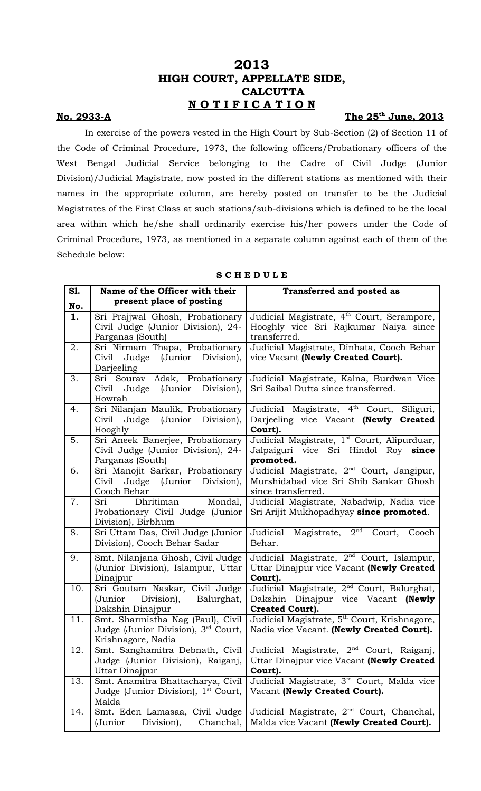# **2013 HIGH COURT, APPELLATE SIDE, CALCUTTA N O T I F I C A T I O N**

### **No. 2933-A**

## The  $25^{\text{th}}$  June, 2013

In exercise of the powers vested in the High Court by Sub-Section (2) of Section 11 of the Code of Criminal Procedure, 1973, the following officers/Probationary officers of the West Bengal Judicial Service belonging to the Cadre of Civil Judge (Junior Division)/Judicial Magistrate, now posted in the different stations as mentioned with their names in the appropriate column, are hereby posted on transfer to be the Judicial Magistrates of the First Class at such stations/sub-divisions which is defined to be the local area within which he/she shall ordinarily exercise his/her powers under the Code of Criminal Procedure, 1973, as mentioned in a separate column against each of them of the Schedule below:

#### **S C H E D U L E**

| S1. | Name of the Officer with their                                                                             | <b>Transferred and posted as</b>                                                                                      |
|-----|------------------------------------------------------------------------------------------------------------|-----------------------------------------------------------------------------------------------------------------------|
| No. | present place of posting                                                                                   |                                                                                                                       |
| 1.  | Sri Prajjwal Ghosh, Probationary<br>Civil Judge (Junior Division), 24-<br>Parganas (South)                 | Judicial Magistrate, 4 <sup>th</sup> Court, Serampore,<br>Hooghly vice Sri Rajkumar Naiya since<br>transferred.       |
| 2.  | Sri Nirmam Thapa, Probationary<br>Judge (Junior Division),<br>Civil<br>Darjeeling                          | Judicial Magistrate, Dinhata, Cooch Behar<br>vice Vacant (Newly Created Court).                                       |
| 3.  | Sri Sourav Adak, Probationary<br>Judge (Junior<br>Division),<br>Civil<br>Howrah                            | Judicial Magistrate, Kalna, Burdwan Vice<br>Sri Saibal Dutta since transferred.                                       |
| 4.  | Sri Nilanjan Maulik, Probationary<br>Civil<br>Judge (Junior Division),<br>Hooghly                          | Judicial Magistrate, 4 <sup>th</sup> Court, Siliguri,<br>Darjeeling vice Vacant (Newly Created<br>Court).             |
| 5.  | Sri Aneek Banerjee, Probationary<br>Civil Judge (Junior Division), 24-<br>Parganas (South)                 | Judicial Magistrate, 1 <sup>st</sup> Court, Alipurduar,<br>Jalpaiguri vice Sri Hindol Roy since<br>promoted.          |
| 6.  | Sri Manojit Sarkar, Probationary<br>Civil<br>Judge (Junior Division),<br>Cooch Behar                       | Judicial Magistrate, 2 <sup>nd</sup> Court, Jangipur,<br>Murshidabad vice Sri Shib Sankar Ghosh<br>since transferred. |
| 7.  | Mondal,<br>Dhritiman<br>Sri<br>Probationary Civil Judge (Junior<br>Division), Birbhum                      | Judicial Magistrate, Nabadwip, Nadia vice<br>Sri Arijit Mukhopadhyay since promoted.                                  |
| 8.  | Sri Uttam Das, Civil Judge (Junior<br>Division), Cooch Behar Sadar                                         | Magistrate, $2nd$ Court,<br>Judicial<br>Cooch<br>Behar.                                                               |
| 9.  | Smt. Nilanjana Ghosh, Civil Judge<br>(Junior Division), Islampur, Uttar<br>Dinajpur                        | Judicial Magistrate, $2nd$ Court, Islampur,<br>Uttar Dinajpur vice Vacant (Newly Created<br>Court).                   |
| 10. | Sri Goutam Naskar, Civil Judge<br>Balurghat,<br>(Junior<br>Division),<br>Dakshin Dinajpur                  | Judicial Magistrate, 2 <sup>nd</sup> Court, Balurghat,<br>Dakshin Dinajpur vice Vacant (Newly<br>Created Court).      |
| 11. | Smt. Sharmistha Nag (Paul), Civil<br>Judge (Junior Division), 3 <sup>rd</sup> Court,<br>Krishnagore, Nadia | Judicial Magistrate, 5 <sup>th</sup> Court, Krishnagore,<br>Nadia vice Vacant. (Newly Created Court).                 |
| 12. | Smt. Sanghamitra Debnath, Civil<br>Judge (Junior Division), Raiganj,<br>Uttar Dinajpur                     | Judicial Magistrate, 2 <sup>nd</sup> Court, Raiganj,<br>Uttar Dinajpur vice Vacant (Newly Created<br>Court).          |
| 13. | Smt. Anamitra Bhattacharya, Civil<br>Judge (Junior Division), 1 <sup>st</sup> Court,<br>Malda              | Judicial Magistrate, 3 <sup>rd</sup> Court, Malda vice<br>Vacant (Newly Created Court).                               |
| 14. | Smt. Eden Lamasaa, Civil Judge<br>(Junior<br>Division),<br>Chanchal,                                       | Judicial Magistrate, 2 <sup>nd</sup> Court, Chanchal,<br>Malda vice Vacant (Newly Created Court).                     |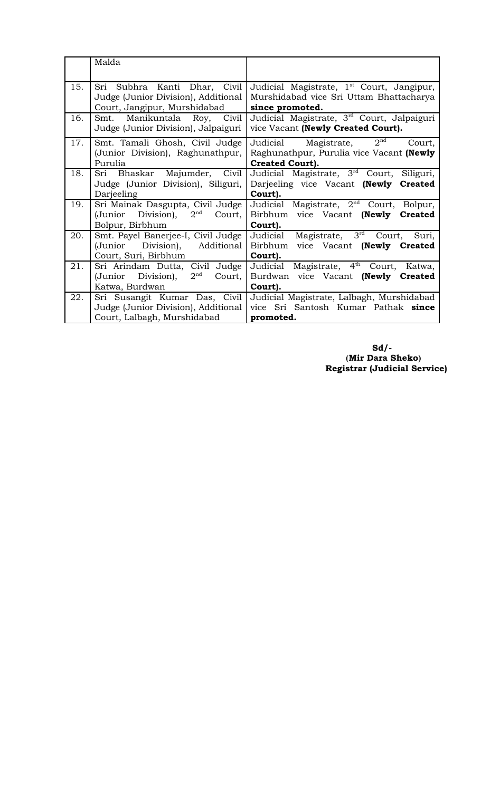|     | Malda                                           |                                                       |
|-----|-------------------------------------------------|-------------------------------------------------------|
| 15. | Sri Subhra Kanti Dhar, Civil                    | Judicial Magistrate, 1 <sup>st</sup> Court, Jangipur, |
|     | Judge (Junior Division), Additional             | Murshidabad vice Sri Uttam Bhattacharya               |
|     | Court, Jangipur, Murshidabad                    | since promoted.                                       |
| 16. | Smt. Manikuntala Roy, Civil                     | Judicial Magistrate, 3rd Court, Jalpaiguri            |
|     | Judge (Junior Division), Jalpaiguri             | vice Vacant (Newly Created Court).                    |
| 17. | Smt. Tamali Ghosh, Civil Judge                  | 2 <sup>nd</sup><br>Judicial<br>Magistrate,<br>Court,  |
|     | (Junior Division), Raghunathpur,                | Raghunathpur, Purulia vice Vacant (Newly              |
|     | Purulia                                         | <b>Created Court).</b>                                |
| 18. | Sri Bhaskar Majumder, Civil                     | Judicial Magistrate, 3 <sup>rd</sup> Court, Siliguri, |
|     | Judge (Junior Division), Siliguri,              | Darjeeling vice Vacant (Newly Created                 |
|     | Darjeeling                                      | Court).                                               |
| 19. | Sri Mainak Dasgupta, Civil Judge                | Judicial Magistrate, 2 <sup>nd</sup> Court, Bolpur,   |
|     | (Junior Division),<br>$2^{\rm nd}$<br>Court,    | Birbhum vice Vacant (Newly<br><b>Created</b>          |
|     | Bolpur, Birbhum                                 | Court).                                               |
| 20. | Smt. Payel Banerjee-I, Civil Judge              | Magistrate, $3rd$<br>Judicial<br>Court,<br>Suri,      |
|     | (Junior Division), Additional                   | Birbhum vice Vacant (Newly Created                    |
|     | Court, Suri, Birbhum                            | Court).                                               |
| 21. | Sri Arindam Dutta, Civil Judge                  | Judicial Magistrate, 4 <sup>th</sup> Court,<br>Katwa, |
|     | $2^{\text{nd}}$<br>(Junior Division),<br>Court, | Burdwan vice Vacant (Newly Created                    |
|     | Katwa, Burdwan                                  | Court).                                               |
| 22. | Sri Susangit Kumar Das, Civil                   | Judicial Magistrate, Lalbagh, Murshidabad             |
|     | Judge (Junior Division), Additional             | vice Sri Santosh Kumar Pathak since                   |
|     | Court, Lalbagh, Murshidabad                     | promoted.                                             |

 **Sd/- (Mir Dara Sheko) Registrar (Judicial Service)**